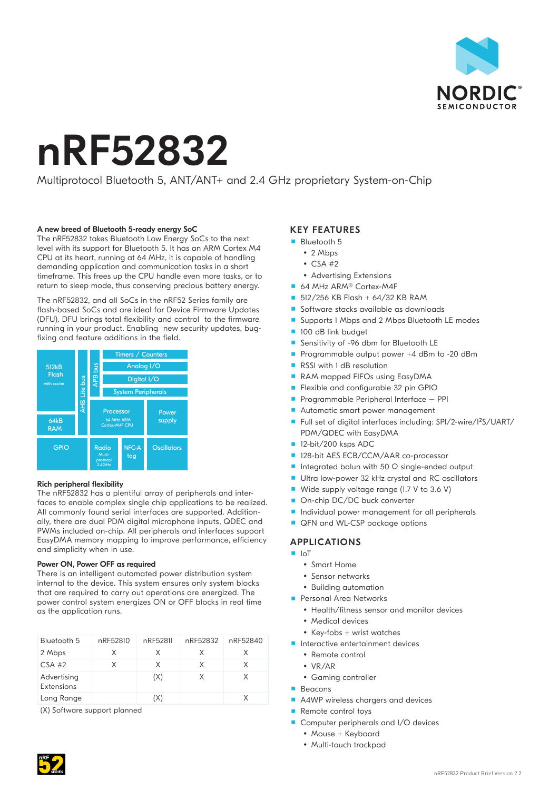

# nRF52832

# Multiprotocol Bluetooth 5, ANT/ANT+ and 2.4 GHz proprietary System-on-Chip

### A new breed of Bluetooth 5-ready energy SoC

The nRF52832 takes Bluetooth Low Energy SoCs to the next level with its support for Bluetooth 5. It has an ARM Cortex M4 CPU at its heart, running at 64 MHz, it is capable of handling demanding application and communication tasks in a short timeframe. This frees up the CPU handle even more tasks, or to return to sleep mode, thus conserving precious battery energy.

The nRF52832, and all SoCs in the nRF52 Series family are flash-based SoCs and are ideal for Device Firmware Updates (DFU). DFU brings total flexibility and control to the firmware running in your product. Enabling new security updates, bugfixing and feature additions in the field.



#### Rich peripheral flexibility

The nRF52832 has a plentiful array of peripherals and interfaces to enable complex single chip applications to be realized. All commonly found serial interfaces are supported. Additionally, there are dual PDM digital microphone inputs, QDEC and PWMs included on-chip. All peripherals and interfaces support EasyDMA memory mapping to improve performance, efficiency and simplicity when in use.

### Power ON, Power OFF as required

There is an intelligent automated power distribution system internal to the device. This system ensures only system blocks that are required to carry out operations are energized. The power control system energizes ON or OFF blocks in real time as the application runs.

| Bluetooth 5               | nRF52810 | nRF52811 | nRF52832 | nRF52840 |
|---------------------------|----------|----------|----------|----------|
| 2 Mbps                    | x        | X        | X        | x        |
| $CSA$ #2                  | x        | X        | X        | X        |
| Advertising<br>Extensions |          | (X)      | X        | X        |
| Long Range                |          |          |          | X        |

(X) Software support planned

## KEY FEATURES

- **Bluetooth 5** 
	- $\cdot$  2 Mbps
	- $\cdot$  CSA #2
	- Advertising Extensions
- 64 MHz ARM® Cortex-M4F
- $\Box$  512/256 KB Flash + 64/32 KB RAM
- Software stacks available as downloads
- Supports 1 Mbps and 2 Mbps Bluetooth LE modes
- 100 dB link budget
- Sensitivity of -96 dbm for Bluetooth LE
- Programmable output power  $+4$  dBm to -20 dBm
- RSSI with 1 dB resolution
- RAM mapped FIFOs using EasyDMA
- **Flexible and configurable 32 pin GPIO**
- **Programmable Peripheral Interface PPI**
- Automatic smart power management
- Full set of digital interfaces including: SPI/2-wire/I<sup>2</sup>S/UART/ PDM/QDEC with EasyDMA
- 12-bit/200 ksps ADC
- 128-bit AES ECB/CCM/AAR co-processor
- Integrated balun with 50 Ω single-ended output
- Ultra low-power 32 kHz crystal and RC oscillators
- Wide supply voltage range (1.7 V to 3.6 V)
- On-chip DC/DC buck converter
- **Individual power management for all peripherals**
- QFN and WL-CSP package options

### APPLICATIONS

- IoT
	- Smart Home
	- Sensor networks
	- Building automation
- **Personal Area Networks** 
	- Health/fitness sensor and monitor devices
	- Medical devices
	- $\bullet$  Key-fobs + wrist watches
- **Interactive entertainment devices** 
	- Remote control
	- VR/AR
	- Gaming controller
- **Beacons**
- A4WP wireless chargers and devices
- Remote control toys
- Computer peripherals and I/O devices
	- Mouse + Keyboard
	- Multi-touch trackpad